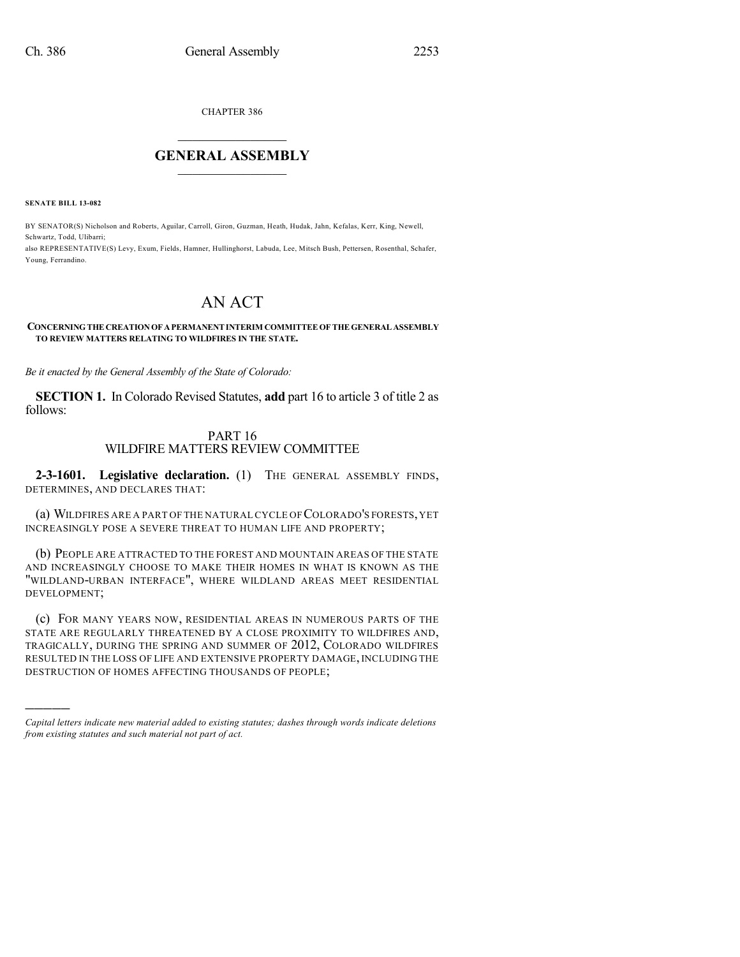CHAPTER 386

## $\overline{\phantom{a}}$  . The set of the set of the set of the set of the set of the set of the set of the set of the set of the set of the set of the set of the set of the set of the set of the set of the set of the set of the set o **GENERAL ASSEMBLY**  $\frac{1}{\sqrt{2}}$  . The set of  $\frac{1}{\sqrt{2}}$

**SENATE BILL 13-082**

)))))

BY SENATOR(S) Nicholson and Roberts, Aguilar, Carroll, Giron, Guzman, Heath, Hudak, Jahn, Kefalas, Kerr, King, Newell, Schwartz, Todd, Ulibarri; also REPRESENTATIVE(S) Levy, Exum, Fields, Hamner, Hullinghorst, Labuda, Lee, Mitsch Bush, Pettersen, Rosenthal, Schafer, Young, Ferrandino.

# AN ACT

#### **CONCERNINGTHE CREATIONOF APERMANENT INTERIM COMMITTEEOF THE GENERAL ASSEMBLY TO REVIEW MATTERS RELATING TO WILDFIRES IN THE STATE.**

*Be it enacted by the General Assembly of the State of Colorado:*

**SECTION 1.** In Colorado Revised Statutes, **add** part 16 to article 3 of title 2 as follows:

### PART 16 WILDFIRE MATTERS REVIEW COMMITTEE

**2-3-1601. Legislative declaration.** (1) THE GENERAL ASSEMBLY FINDS, DETERMINES, AND DECLARES THAT:

(a) WILDFIRES ARE A PART OF THE NATURAL CYCLE OF COLORADO'S FORESTS,YET INCREASINGLY POSE A SEVERE THREAT TO HUMAN LIFE AND PROPERTY;

(b) PEOPLE ARE ATTRACTED TO THE FOREST AND MOUNTAIN AREAS OF THE STATE AND INCREASINGLY CHOOSE TO MAKE THEIR HOMES IN WHAT IS KNOWN AS THE "WILDLAND-URBAN INTERFACE", WHERE WILDLAND AREAS MEET RESIDENTIAL DEVELOPMENT;

(c) FOR MANY YEARS NOW, RESIDENTIAL AREAS IN NUMEROUS PARTS OF THE STATE ARE REGULARLY THREATENED BY A CLOSE PROXIMITY TO WILDFIRES AND, TRAGICALLY, DURING THE SPRING AND SUMMER OF 2012, COLORADO WILDFIRES RESULTED IN THE LOSS OF LIFE AND EXTENSIVE PROPERTY DAMAGE, INCLUDING THE DESTRUCTION OF HOMES AFFECTING THOUSANDS OF PEOPLE;

*Capital letters indicate new material added to existing statutes; dashes through words indicate deletions from existing statutes and such material not part of act.*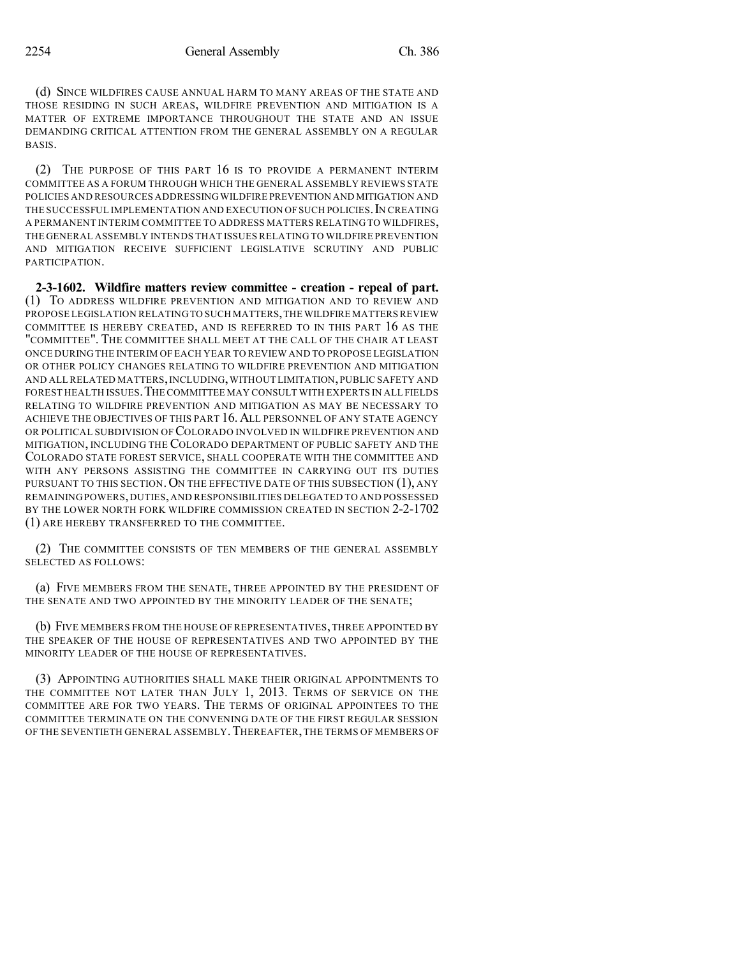(d) SINCE WILDFIRES CAUSE ANNUAL HARM TO MANY AREAS OF THE STATE AND THOSE RESIDING IN SUCH AREAS, WILDFIRE PREVENTION AND MITIGATION IS A MATTER OF EXTREME IMPORTANCE THROUGHOUT THE STATE AND AN ISSUE DEMANDING CRITICAL ATTENTION FROM THE GENERAL ASSEMBLY ON A REGULAR BASIS.

(2) THE PURPOSE OF THIS PART 16 IS TO PROVIDE A PERMANENT INTERIM COMMITTEE AS A FORUM THROUGH WHICH THE GENERAL ASSEMBLY REVIEWS STATE POLICIES AND RESOURCES ADDRESSING WILDFIRE PREVENTION AND MITIGATION AND THE SUCCESSFUL IMPLEMENTATION AND EXECUTION OF SUCH POLICIES. IN CREATING A PERMANENT INTERIM COMMITTEE TO ADDRESS MATTERS RELATING TO WILDFIRES, THE GENERAL ASSEMBLY INTENDS THAT ISSUES RELATING TO WILDFIRE PREVENTION AND MITIGATION RECEIVE SUFFICIENT LEGISLATIVE SCRUTINY AND PUBLIC PARTICIPATION.

**2-3-1602. Wildfire matters review committee - creation - repeal of part.** (1) TO ADDRESS WILDFIRE PREVENTION AND MITIGATION AND TO REVIEW AND PROPOSE LEGISLATION RELATING TO SUCH MATTERS, THE WILDFIRE MATTERS REVIEW COMMITTEE IS HEREBY CREATED, AND IS REFERRED TO IN THIS PART 16 AS THE "COMMITTEE". THE COMMITTEE SHALL MEET AT THE CALL OF THE CHAIR AT LEAST ONCE DURING THE INTERIM OF EACH YEAR TO REVIEW AND TO PROPOSE LEGISLATION OR OTHER POLICY CHANGES RELATING TO WILDFIRE PREVENTION AND MITIGATION AND ALL RELATED MATTERS,INCLUDING,WITHOUT LIMITATION,PUBLIC SAFETY AND FOREST HEALTH ISSUES.THE COMMITTEE MAY CONSULT WITH EXPERTS IN ALL FIELDS RELATING TO WILDFIRE PREVENTION AND MITIGATION AS MAY BE NECESSARY TO ACHIEVE THE OBJECTIVES OF THIS PART 16.ALL PERSONNEL OF ANY STATE AGENCY OR POLITICAL SUBDIVISION OF COLORADO INVOLVED IN WILDFIRE PREVENTION AND MITIGATION, INCLUDING THE COLORADO DEPARTMENT OF PUBLIC SAFETY AND THE COLORADO STATE FOREST SERVICE, SHALL COOPERATE WITH THE COMMITTEE AND WITH ANY PERSONS ASSISTING THE COMMITTEE IN CARRYING OUT ITS DUTIES PURSUANT TO THIS SECTION. ON THE EFFECTIVE DATE OF THIS SUBSECTION (1), ANY REMAINING POWERS,DUTIES,AND RESPONSIBILITIES DELEGATED TO AND POSSESSED BY THE LOWER NORTH FORK WILDFIRE COMMISSION CREATED IN SECTION 2-2-1702 (1) ARE HEREBY TRANSFERRED TO THE COMMITTEE.

(2) THE COMMITTEE CONSISTS OF TEN MEMBERS OF THE GENERAL ASSEMBLY SELECTED AS FOLLOWS:

(a) FIVE MEMBERS FROM THE SENATE, THREE APPOINTED BY THE PRESIDENT OF THE SENATE AND TWO APPOINTED BY THE MINORITY LEADER OF THE SENATE;

(b) FIVE MEMBERS FROM THE HOUSE OF REPRESENTATIVES, THREE APPOINTED BY THE SPEAKER OF THE HOUSE OF REPRESENTATIVES AND TWO APPOINTED BY THE MINORITY LEADER OF THE HOUSE OF REPRESENTATIVES.

(3) APPOINTING AUTHORITIES SHALL MAKE THEIR ORIGINAL APPOINTMENTS TO THE COMMITTEE NOT LATER THAN JULY 1, 2013. TERMS OF SERVICE ON THE COMMITTEE ARE FOR TWO YEARS. THE TERMS OF ORIGINAL APPOINTEES TO THE COMMITTEE TERMINATE ON THE CONVENING DATE OF THE FIRST REGULAR SESSION OF THE SEVENTIETH GENERAL ASSEMBLY. THEREAFTER, THE TERMS OF MEMBERS OF